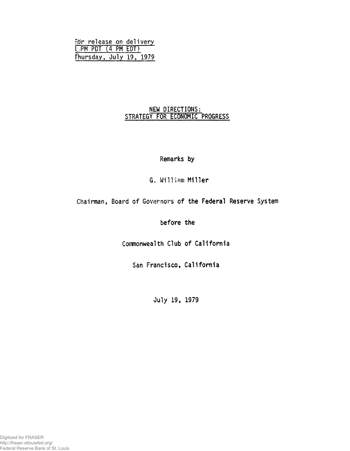| ör release on delivery  |  |  |
|-------------------------|--|--|
| $L/PM$ PDT $(4 PM EDT)$ |  |  |
| Fhursday, July 19, 1979 |  |  |

# **NEW DIRECTIONS:** STRATEGY **FOR ECONOMIC PROGRESS**

**Remarks by**

**G. William Miller**

Chairman, Board of Governors **of the Federal Reserve System**

**before the**

**Commonwealth Club of California**

San **Francisco, California**

**July 19, 1979**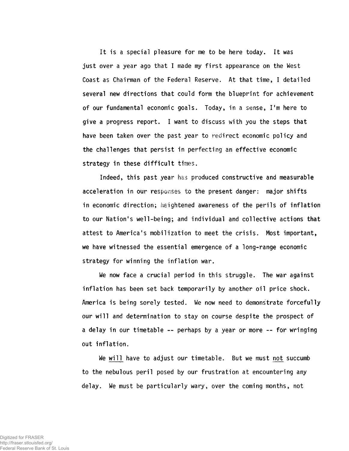**It is a special pleasure for me to be here today. It was just over a year ago that I made my first appearance on the West Coast as Chairman of the Federal Reserve. At that time, I detailed several new directions that could form the blueprint for achievement of our fundamental economic goals. Today, in a sense, I'm here to give a progress report. I want to discuss with you the steps that have been taken over the past year to redirect economic policy and the challenges that persist in perfecting an effective economic strategy in these difficult times.**

**Indeed, this past year has produced constructive and measurable acceleration in our responses to the present danger: major shifts in economic direction; heightened awareness of the perils of inflation to our Nation's well-being; and individual and collective actions that attest to America's mobilization to meet the crisis. Most important, we have witnessed the essential emergence of a long-range economic strategy for winning the inflation war.**

**We now face a crucial period in this struggle. The war against inflation has been set back temporarily by another oil price shock. America is being sorely tested. We now need to demonstrate forcefully our will and determination to stay on course despite the prospect of a delay in our timetable -- perhaps by a year or more -- for wringing out inflation.**

**We will have to adjust our timetable. But we must not succumb to the nebulous peril posed by our frustration at encountering any delay. We must be particularly wary, over the coming months, not**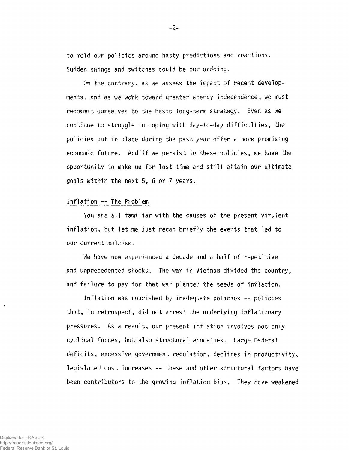to mold our policies around hasty predictions and reactions. Sudden swings and switches could be our undoing.

On the contrary, as we assess the impact of recent developments, and as we work toward greater energy independence, we must recommit ourselves to the basic long-term strategy. Even as we continue to struggle in coping with day-to-day difficulties, the policies put in place during the past year offer a more promising economic future. And if we persist in these policies, we have the opportunity to make up for lost time and still attain our ultimate goals within the next 5, 6 or 7 years.

### Inflation --The Problem

You are all familiar with the causes of the present virulent inflation, but let me just recap briefly the events that led to our current malaise.

We have now experienced a decade and a half of repetitive and unprecedented shocks. The war in Vietnam divided the country, and failure to pay for that war planted the seeds of inflation.

Inflation was nourished by inadequate policies -- policies that, in retrospect, did not arrest the underlying inflationary pressures. As a result, our present inflation involves not only cyclical forces, but also structural anomalies. Large Federal deficits, excessive government regulation, declines in productivity, legislated cost increases — these and other structural factors have been contributors to the growing inflation bias. They have weakened

-2-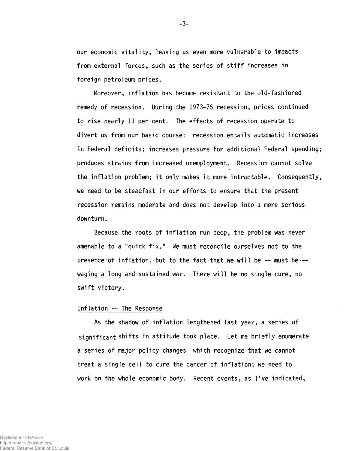**our economic vitality, leaving us even more vulnerable to impacts from external forces, such as the series of stiff increases in foreign petroleum prices.**

**Moreover, inflation has become resistant to the old-fashioned remedy of recession. During the 1973-75 recession, prices continued to rise nearly 11 per cent. The effects of recession operate to divert us from our basic course: recession entails automatic increases in Federal deficits; increases pressure for additional Federal spending; produces strains from increased unemployment. Recession cannot solve the inflation problem; it only makes it more intractable. Consequently, we need to be steadfast in our efforts to ensure that the present recession remains moderate and does not develop into a more serious downturn.**

**Because the roots of inflation run deep, the problem was never amenable to a "quick fix.<sup>11</sup> We must reconcile ourselves not to the presence of inflation, but to the fact that we will be-— must he waging a long and sustained war. There will be no single cure, no swift victory.**

## **Inflation — The Response**

**As the shadow of inflation lengthened last year, a series of significant shifts in attitude took place. Let me briefly enumerate a series of major policy changes which recognize that we cannot treat a single cell to cure the cancer of inflation; we need to work on the whole economic body. Recent events, as I've indicated,**

**-3-**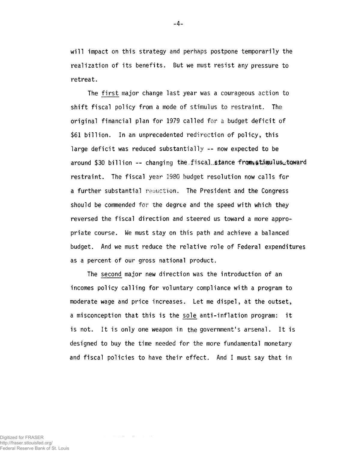will impact on this strategy and perhaps postpone temporarily the realization of its benefits. But we must resist any pressure to retreat.

The first major change last year was a courageous action to shift fiscal policy from a mode of stimulus to restraint. The original financial plan for 1979 called for a budget deficit of \$61 billion. In an unprecedented redirection of policy, this large deficit was reduced substantially -- now expected to be around \$30 billion -- changing the fiscal stance from atimulus toward restraint. The fiscal year 1980 budget resolution now calls for a further substantial reduction. The President and the Congress should be commended for the degree and the speed with which they reversed the fiscal direction and steered us toward a more appropriate course. We must stay on this path and achieve a balanced budget. And we must reduce the relative role of Federal expenditures as a percent of our gross national product.

The second major new direction was the introduction of an incomes policy calling for voluntary compliance with a program to moderate wage and price increases. Let me dispel, at the outset, a misconception that this is the sole anti-inflation program: it is not. It is only one weapon in the government's arsenal. It is designed to buy the time needed for the more fundamental monetary and fiscal policies to have their effect. And I must say that in

Digitized for FRASER http://fraser.stlouisfed.org/ Federal Reserve Bank of St. Louis -4-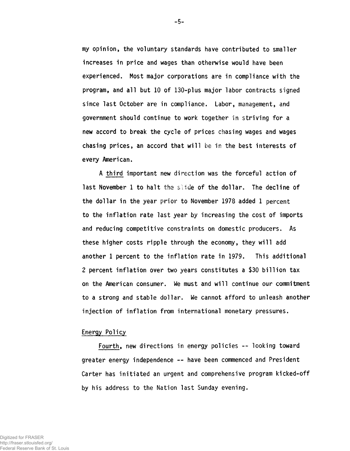**my opinion, the voluntary standards have contributed to smaller increases in price and wages than otherwise would have been experienced. Most major corporations are in compliance with the program, and all but 10 of 130-plus major labor contracts signed since last October are in compliance. Labor, management, and government should continue to work together in striving for a new accord to break the cycle of prices chasing wages and wages chasing prices, an accord that will be in the best interests of every American.**

**A third important new direction was the forceful action of last November 1 to halt the slide of the dollar. The decline of the dollar in the year prior to November 1978 added 1 percent to the inflation rate last year by increasing the cost of imports and reducing competitive constraints on domestic producers. As** these higher costs ripple through the economy, they will add **another 1 percent to the inflation rate in 1979. This additional 2 percent inflation over two years constitutes a \$30 billion tax on the American consumer. We must and will continue our commitment to a strong and stable dollar. We cannot afford to unleash another injection of inflation from international monetary pressures.**

#### **Energy Policy**

**Fourth, new directions in energy policies — looking toward greater energy independence — have been commenced and President Carter has initiated an urgent and comprehensive program kicked-off by his address to the Nation last Sunday evening.**

**-5-**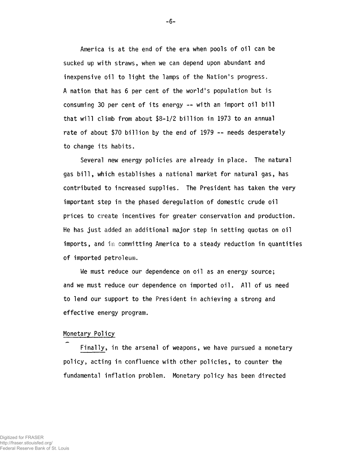America is at the end of the era when pools of oil can be sucked up with straws, when we can depend upon abundant and inexpensive oil to light the lamps of the Nation's progress. A nation that has 6 per cent of the world's population but is consuming 30 per cent of its energy -- with an import oil bill that will climb from about \$8-1/2 billion in 1973 to an annual rate of about \$70 billion by the end of 1979 -- needs desperately to change its habits.

Several new energy policies are already in place. The natural gas bill, which establishes a national market for natural gas, has contributed to increased supplies. The President has taken the very important step in the phased deregulation of domestic crude oil prices to create incentives for greater conservation and production. He has just added an additional major step in setting quotas on oil imports, and in committing America to a steady reduction in quantities of imported petroleum.

We must reduce our dependence on oil as an energy source; and we must reduce our dependence on imported oil. All of us need to lend our support to the President in achieving a strong and effective energy program.

## Monetary Policy

Finally, in the arsenal of weapons, we have pursued a monetary policy, acting in confluence with other policies, to counter the fundamental inflation problem. Monetary policy has been directed

-6-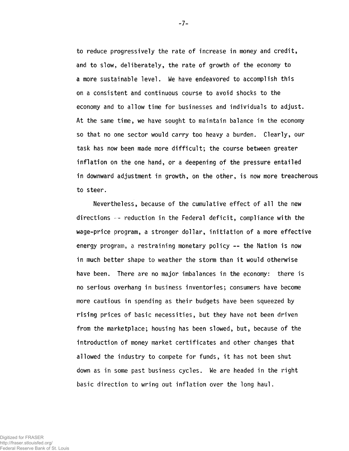**to reduce progressively the rate of increase in money and credit, and to slow, deliberately, the rate of growth of the economy to a more sustainable level. We have endeavored to accomplish this on a consistent and continuous course to avoid shocks to the economy and to allow time for businesses and individuals to adjust. At the same time, we have sought to maintain balance in the economy so that no one sector would carry too heavy a burden. Clearly, our task has now been made more difficult; the course between greater inflation on the one hand, or a deepening of the pressure entailed in downward adjustment in growth, on the other, is now more treacherous to steer.**

**Nevertheless, because of the cumulative effect of all the new directions — reduction in the Federal deficit, compliance with the wage-price program, a stronger dollar, initiation of a more effective energy program, a restraining monetary policy ~ the Nation is now in much better shape to weather the storm than it would otherwise have been. There are no major imbalances in the economy: there is no serious overhang in business inventories; consumers have become more cautious in spending as their budgets have been squeezed by rising prices of basic necessities, but they have not been driven from the marketplace; housing has been slowed, but, because of the introduction of money market certificates and other changes that allowed the industry to compete for funds, it has not been shut down as in some past business cycles. We are headed in the right basic direction to wring out inflation over the long haul.**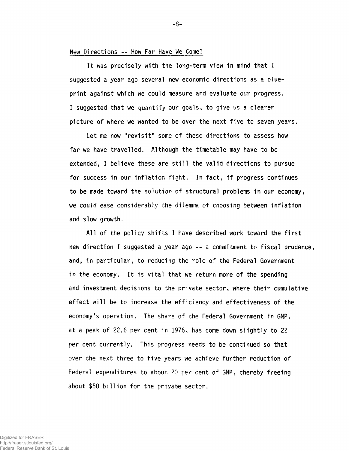## **New Directions — How Far Have We Come?**

**It was precisely with the long-term view in mind that I suggested a year ago several new economic directions as a blueprint against which we could measure and evaluate our progress. I suggested that we quantify our goals, to give us a clearer picture of where we wanted to be over the next five to seven years.**

**Let me now "revisit" some of these directions to assess how far we have travelled. Although the timetable may have to be extended, I believe these are still the valid directions to pursue for success in our inflation fight. In fact, if progress continues to be made toward the solution of structural problems in our economy, we could ease considerably the dilemma of choosing between inflation and slow growth.**

**All of the policy shifts I have described work toward the first new direction I suggested a year ago -- a commitment to fiscal prudence, and, in particular, to reducing the role of the Federal Government in the economy. It is vital that we return more of the spending and investment decisions to the private sector, where their cumulative effect will be to increase the efficiency and effectiveness of the economy's operation. The share of the Federal Government in GNP, at a peak of 22.6 per cent in 1976, has come down slightly to 22 per cent currently. This progress needs to be continued so that over the next three to five years we achieve further reduction of Federal expenditures to about 20 per cent of GNP, thereby freeing about \$50 billion for the private sector.**

**-8-**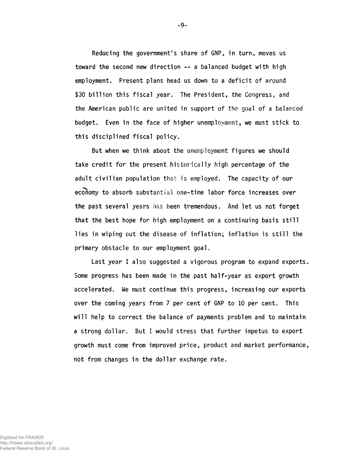**Reducing the government's share of GNP, in turn, moves us toward the second new direction — a balanced budget with high employment. Present plans head us down to a deficit of around \$30 billion this fiscal year. The President, the Congresss, and the American public are united in support of the goal of a balanced budget. Even in the face of higher unemployment, we must stick to this disciplined fiscal policy.**

**But when we think about the unemployment figures we should take credit for the present historically high percentage of the adult civilian population that is employed. The capacity of our economy to absorb substantial one-time labor force increases over the past several years has been tremendous. And let us not forget that the best hope for high employment on a continuing basis still lies in wiping out the disease of inflation; inflation is still the primary obstacle to our employment goal.**

**Last year I also suggested a vigorous program to expand exports. Some progress has been made in the past half-year as export growth accelerated. We must continue this progress, increasing our exports over the coming years from 7 per cent of GNP to 10 per cent. This will help to correct the balance of payments problem and to maintain a strong dollar. But I would stress that further impetus to export growth must come from improved price, product and market performance, not from changes in the dollar exchange rate.**

**-9-**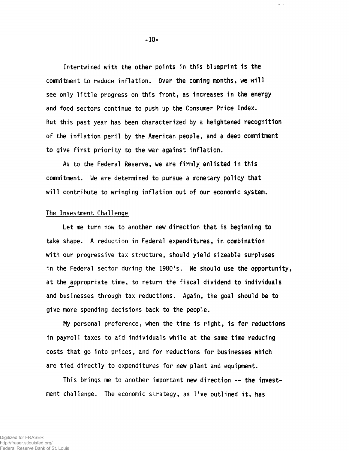**Intertwined with the other points in this blueprint is the commitment to reduce inflation. Over the coming months, we will see only little progress on this front, as increases in the energy and food sectors continue to push up the Consumer Price Index. But this past year has been characterized by a heightened recognition of the inflation peril by the American people, and a deep commitment to give first priority to the war against inflation.**

**As to the Federal Reserve, we are firmly enlisted in this commitment. We are determined to pursue a monetary policy that will contribute to wringing inflation out of our economic system.**

#### **The Investment Challenge**

**Let me turn now to another new direction that is beginning to take shape. A reduction in Federal expenditures, in combination with our progressive tax structure, should yield sizeable surpluses in the Federal sector during the 1980's. We should use the opportunity, at the appropriate time, to return the fiscal dividend to individuals and businesses through tax reductions. Again, the goal should be to give more spending decisions back to the people.**

**My personal preference, when the time is right, is for reductions in payroll taxes to aid individuals while at the same time reducing costs that go into prices, and for reductions for businesses which are tied directly to expenditures for new plant and equipment.**

**This brings me to another important new direction — the investment challenge. The economic strategy, as I've outlined it, has**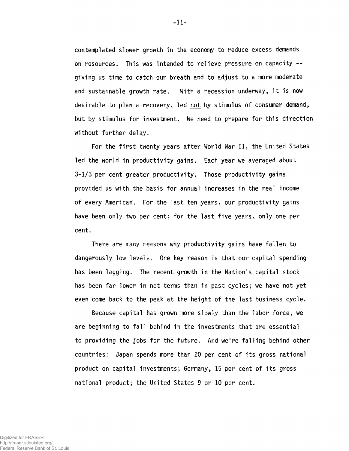contemplated slower growth in the economy to reduce excess demands on resources. This was intended to relieve pressure on capacity giving us time to catch our breath and to adjust to a more moderate and sustainable growth rate. With a recession underway, it is now desirable to plan a recovery, led not by stimulus of consumer demand, but by stimulus for investment. We need to prepare for this direction without further delay.

For the first twenty years after World War II, the United States led the world in productivity gains. Each year we averaged about 3-1/3 per cent greater productivity. Those productivity gains provided us with the basis for annual increases in the real income of every American. For the last ten years, our productivity gains have been only two per cent; for the last five years, only one per cent.

There are many reasons why productivity gains have fallen to dangerously low levels. One key reason is that our capital spending has been lagging. The recent growth in the Nation's capital stock has been far lower in net terms than in past cycles; we have not yet even come back to the peak at the height of the last business cycle.

Because capital has grown more slowly than the labor force, we are beginning to fall behind in the investments that are essential to providing the jobs for the future. And we're falling behind other countries: Japan spends more than 20 per cent of its gross national product on capital investments; Germany, 15 per cent of its gross national product; the United States 9 or 10 per cent.

-11-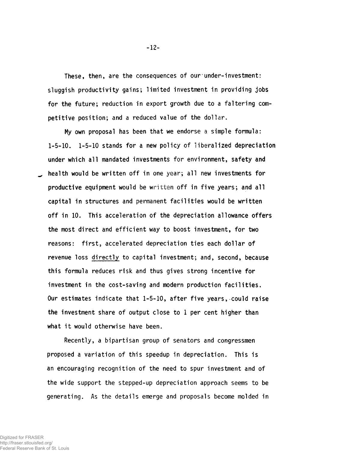These, then, are the consequences of our under-investment: **sluggish productivity gains; limited investment in providing jobs for the future; reduction in export growth due to a faltering competitive position; and a reduced value of the dollar.**

**My own proposal has been that we endorse a simple formula: 1-5-10. 1-5-10 stands for a new policy of liberalized depreciation under which all mandated investments for environment, safety and health would be written off in one year; all new investments for productive equipment would be written off in five years; and all capital in structures and permanent facilities would be written off in 10. This acceleration of the depreciation allowance offers the most direct and efficient way to boost investment, for two reasons: first, accelerated depreciation ties each dollar of revenue loss directly to capital investment; and, second, because this formula reduces risk and thus gives strong incentive for investment in the cost-saving and modern production facilities. Our estimates indicate that 1-5-10, after five years, could raise the investment share of output close to 1 per cent higher than what it would otherwise have been.**

**Recently, a bipartisan group of senators and congressmen proposed a variation of this speedup in depreciation. This is an encouraging recognition of the need to spur investment and of the wide support the stepped-up depreciation approach seems to be generating. As the details emerge and proposals become molded in**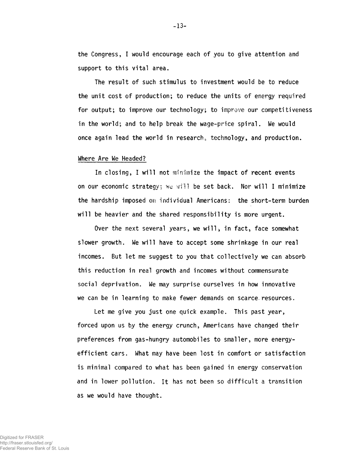**the Congress, I would encourage each of you to give attention and support to this vital area.**

**The result of such stimulus to investment would be to reduce the unit cost of production; to reduce the units of energy required for output; to improve our technology; to improve our competitiveness in the world; and to help break the wage-price spiral. We would once again lead the world in research, technology, and production.**

#### **Where Are We Headed?**

**In closing, I will not minimize the impact of recent events on our economic strategy; we will be set back. Nor will I minimize the hardship imposed on individual Americans: the short-term burden will be heavier and the shared responsibility is more urgent.**

**Over the next several years, we will, in fact, face somewhat slower growth. We will have to accept some shrinkage in our real incomes. But let me suggest to you that collectively we can absorb this reduction in real growth and incomes without commensurate social deprivation. We may surprise ourselves in how innovative we can be in learning to make fewer demands on scarce.resources.**

**Let me give you just one quick example. This past year, forced upon us by the energy crunch, Americans have changed their preferences from gas-hungry automobiles to smaller, more energyefficient cars. What may have been lost in comfort or satisfaction is minimal compared to what has been gained in energy conservation and in lower pollution. It has not been so difficult a transition as we would have thought.**

Digitized for FRASER http://fraser.stlouisfed.org/ Federal Reserve Bank of St. Louis